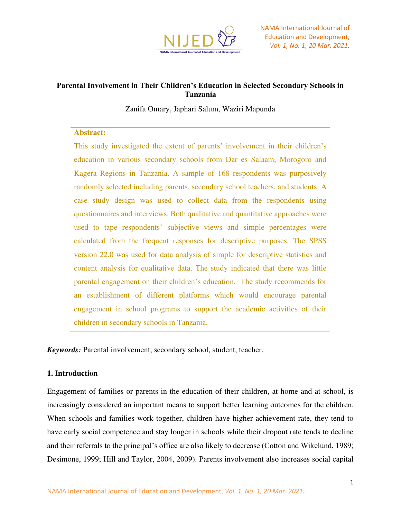

# **Parental Involvement in Their Children's Education in Selected Secondary Schools in Tanzania**

Zanifa Omary, Japhari Salum, Waziri Mapunda

#### **Abstract:**

This study investigated the extent of parents' involvement in their children's education in various secondary schools from Dar es Salaam, Morogoro and Kagera Regions in Tanzania. A sample of 168 respondents was purposively randomly selected including parents, secondary school teachers, and students. A case study design was used to collect data from the respondents using questionnaires and interviews. Both qualitative and quantitative approaches were used to tape respondents' subjective views and simple percentages were calculated from the frequent responses for descriptive purposes. The SPSS version 22.0 was used for data analysis of simple for descriptive statistics and content analysis for qualitative data. The study indicated that there was little parental engagement on their children's education. The study recommends for an establishment of different platforms which would encourage parental engagement in school programs to support the academic activities of their children in secondary schools in Tanzania.

*Keywords:* Parental involvement, secondary school, student, teacher.

### **1. Introduction**

Engagement of families or parents in the education of their children, at home and at school, is increasingly considered an important means to support better learning outcomes for the children. When schools and families work together, children have higher achievement rate, they tend to have early social competence and stay longer in schools while their dropout rate tends to decline and their referrals to the principal's office are also likely to decrease (Cotton and Wikelund, 1989; Desimone, 1999; Hill and Taylor, 2004, 2009). Parents involvement also increases social capital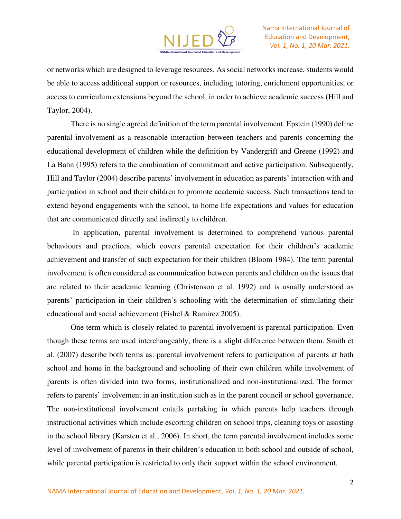

or networks which are designed to leverage resources. As social networks increase, students would be able to access additional support or resources, including tutoring, enrichment opportunities, or access to curriculum extensions beyond the school, in order to achieve academic success (Hill and Taylor, 2004).

There is no single agreed definition of the term parental involvement. Epstein (1990) define parental involvement as a reasonable interaction between teachers and parents concerning the educational development of children while the definition by Vandergrift and Greene (1992) and La Bahn (1995) refers to the combination of commitment and active participation. Subsequently, Hill and Taylor (2004) describe parents' involvement in education as parents' interaction with and participation in school and their children to promote academic success. Such transactions tend to extend beyond engagements with the school, to home life expectations and values for education that are communicated directly and indirectly to children.

 In application, parental involvement is determined to comprehend various parental behaviours and practices, which covers parental expectation for their children's academic achievement and transfer of such expectation for their children (Bloom 1984). The term parental involvement is often considered as communication between parents and children on the issues that are related to their academic learning (Christenson et al. 1992) and is usually understood as parents' participation in their children's schooling with the determination of stimulating their educational and social achievement (Fishel & Ramirez 2005).

One term which is closely related to parental involvement is parental participation. Even though these terms are used interchangeably, there is a slight difference between them. Smith et al. (2007) describe both terms as: parental involvement refers to participation of parents at both school and home in the background and schooling of their own children while involvement of parents is often divided into two forms, institutionalized and non-institutionalized. The former refers to parents' involvement in an institution such as in the parent council or school governance. The non-institutional involvement entails partaking in which parents help teachers through instructional activities which include escorting children on school trips, cleaning toys or assisting in the school library (Karsten et al., 2006). In short, the term parental involvement includes some level of involvement of parents in their children's education in both school and outside of school, while parental participation is restricted to only their support within the school environment.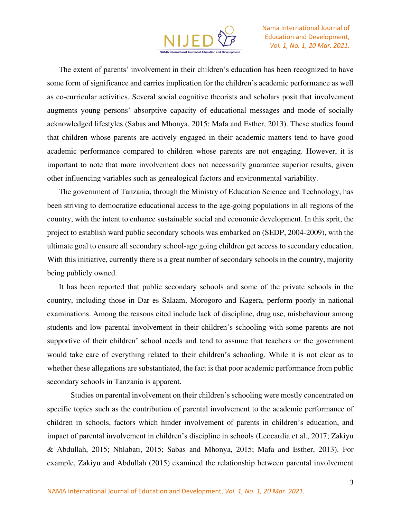

The extent of parents' involvement in their children's education has been recognized to have some form of significance and carries implication for the children's academic performance as well as co-curricular activities. Several social cognitive theorists and scholars posit that involvement augments young persons' absorptive capacity of educational messages and mode of socially acknowledged lifestyles (Sabas and Mhonya, 2015; Mafa and Esther, 2013). These studies found that children whose parents are actively engaged in their academic matters tend to have good academic performance compared to children whose parents are not engaging. However, it is important to note that more involvement does not necessarily guarantee superior results, given other influencing variables such as genealogical factors and environmental variability.

The government of Tanzania, through the Ministry of Education Science and Technology, has been striving to democratize educational access to the age-going populations in all regions of the country, with the intent to enhance sustainable social and economic development. In this sprit, the project to establish ward public secondary schools was embarked on (SEDP, 2004-2009), with the ultimate goal to ensure all secondary school-age going children get access to secondary education. With this initiative, currently there is a great number of secondary schools in the country, majority being publicly owned.

It has been reported that public secondary schools and some of the private schools in the country, including those in Dar es Salaam, Morogoro and Kagera, perform poorly in national examinations. Among the reasons cited include lack of discipline, drug use, misbehaviour among students and low parental involvement in their children's schooling with some parents are not supportive of their children' school needs and tend to assume that teachers or the government would take care of everything related to their children's schooling. While it is not clear as to whether these allegations are substantiated, the fact is that poor academic performance from public secondary schools in Tanzania is apparent.

Studies on parental involvement on their children's schooling were mostly concentrated on specific topics such as the contribution of parental involvement to the academic performance of children in schools, factors which hinder involvement of parents in children's education, and impact of parental involvement in children's discipline in schools (Leocardia et al., 2017; Zakiyu & Abdullah, 2015; Nhlabati, 2015; Sabas and Mhonya, 2015; Mafa and Esther, 2013). For example, Zakiyu and Abdullah (2015) examined the relationship between parental involvement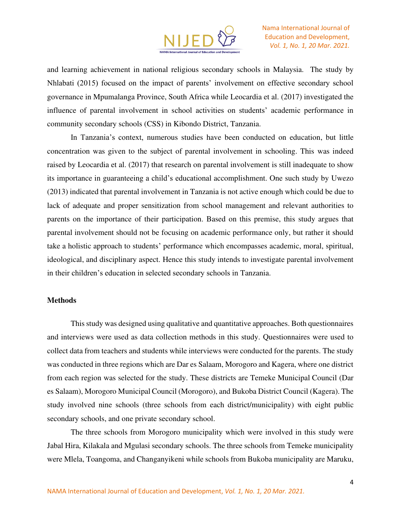

and learning achievement in national religious secondary schools in Malaysia. The study by Nhlabati (2015) focused on the impact of parents' involvement on effective secondary school governance in Mpumalanga Province, South Africa while Leocardia et al. (2017) investigated the influence of parental involvement in school activities on students' academic performance in community secondary schools (CSS) in Kibondo District, Tanzania.

In Tanzania's context, numerous studies have been conducted on education, but little concentration was given to the subject of parental involvement in schooling. This was indeed raised by Leocardia et al. (2017) that research on parental involvement is still inadequate to show its importance in guaranteeing a child's educational accomplishment. One such study by Uwezo (2013) indicated that parental involvement in Tanzania is not active enough which could be due to lack of adequate and proper sensitization from school management and relevant authorities to parents on the importance of their participation. Based on this premise, this study argues that parental involvement should not be focusing on academic performance only, but rather it should take a holistic approach to students' performance which encompasses academic, moral, spiritual, ideological, and disciplinary aspect. Hence this study intends to investigate parental involvement in their children's education in selected secondary schools in Tanzania.

#### **Methods**

This study was designed using qualitative and quantitative approaches. Both questionnaires and interviews were used as data collection methods in this study. Questionnaires were used to collect data from teachers and students while interviews were conducted for the parents. The study was conducted in three regions which are Dar es Salaam, Morogoro and Kagera, where one district from each region was selected for the study. These districts are Temeke Municipal Council (Dar es Salaam), Morogoro Municipal Council (Morogoro), and Bukoba District Council (Kagera). The study involved nine schools (three schools from each district/municipality) with eight public secondary schools, and one private secondary school.

The three schools from Morogoro municipality which were involved in this study were Jabal Hira, Kilakala and Mgulasi secondary schools. The three schools from Temeke municipality were Mlela, Toangoma, and Changanyikeni while schools from Bukoba municipality are Maruku,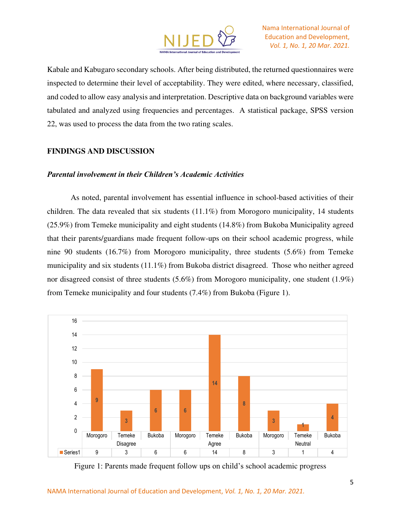

Kabale and Kabugaro secondary schools. After being distributed, the returned questionnaires were inspected to determine their level of acceptability. They were edited, where necessary, classified, and coded to allow easy analysis and interpretation. Descriptive data on background variables were tabulated and analyzed using frequencies and percentages. A statistical package, SPSS version 22, was used to process the data from the two rating scales.

### **FINDINGS AND DISCUSSION**

#### *Parental involvement in their Children's Academic Activities*

As noted, parental involvement has essential influence in school-based activities of their children. The data revealed that six students (11.1%) from Morogoro municipality, 14 students (25.9%) from Temeke municipality and eight students (14.8%) from Bukoba Municipality agreed that their parents/guardians made frequent follow-ups on their school academic progress, while nine 90 students (16.7%) from Morogoro municipality, three students (5.6%) from Temeke municipality and six students (11.1%) from Bukoba district disagreed. Those who neither agreed nor disagreed consist of three students (5.6%) from Morogoro municipality, one student (1.9%) from Temeke municipality and four students (7.4%) from Bukoba (Figure 1).



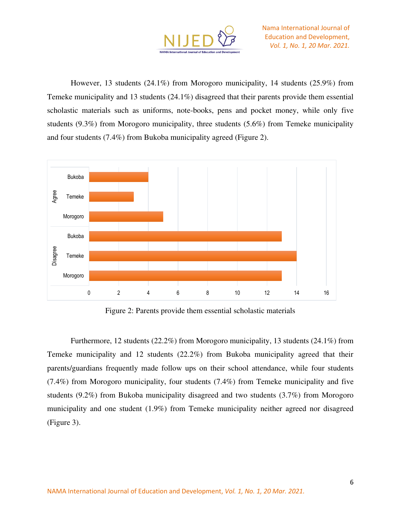

However, 13 students (24.1%) from Morogoro municipality, 14 students (25.9%) from Temeke municipality and 13 students (24.1%) disagreed that their parents provide them essential scholastic materials such as uniforms, note-books, pens and pocket money, while only five students (9.3%) from Morogoro municipality, three students (5.6%) from Temeke municipality and four students (7.4%) from Bukoba municipality agreed (Figure 2).



Figure 2: Parents provide them essential scholastic materials

Furthermore, 12 students (22.2%) from Morogoro municipality, 13 students (24.1%) from Temeke municipality and 12 students (22.2%) from Bukoba municipality agreed that their parents/guardians frequently made follow ups on their school attendance, while four students (7.4%) from Morogoro municipality, four students (7.4%) from Temeke municipality and five students (9.2%) from Bukoba municipality disagreed and two students (3.7%) from Morogoro municipality and one student (1.9%) from Temeke municipality neither agreed nor disagreed (Figure 3).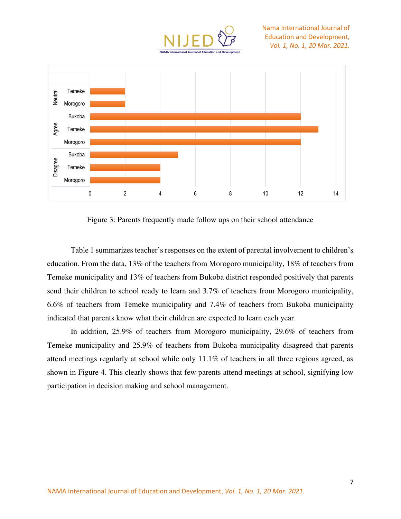



Figure 3: Parents frequently made follow ups on their school attendance

Table 1 summarizes teacher's responses on the extent of parental involvement to children's education. From the data, 13% of the teachers from Morogoro municipality, 18% of teachers from Temeke municipality and 13% of teachers from Bukoba district responded positively that parents send their children to school ready to learn and 3.7% of teachers from Morogoro municipality, 6.6% of teachers from Temeke municipality and 7.4% of teachers from Bukoba municipality indicated that parents know what their children are expected to learn each year.

In addition, 25.9% of teachers from Morogoro municipality, 29.6% of teachers from Temeke municipality and 25.9% of teachers from Bukoba municipality disagreed that parents attend meetings regularly at school while only 11.1% of teachers in all three regions agreed, as shown in Figure 4. This clearly shows that few parents attend meetings at school, signifying low participation in decision making and school management.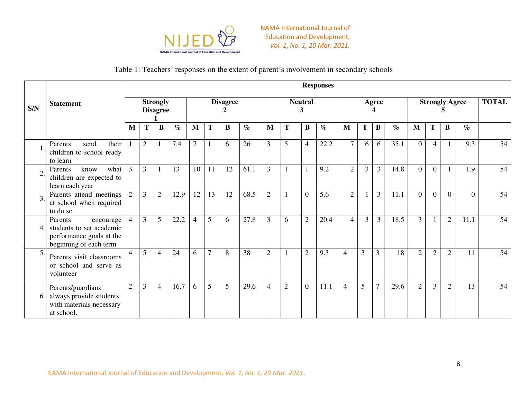

## Table 1: Teachers' responses on the extent of parent's involvement in secondary schools

|                  | <b>Statement</b>                                                                                       |                          | <b>Responses</b><br><b>TOTAL</b>   |                |      |                |                 |    |      |                |                     |                |      |                |       |                |      |                |                       |                |          |    |
|------------------|--------------------------------------------------------------------------------------------------------|--------------------------|------------------------------------|----------------|------|----------------|-----------------|----|------|----------------|---------------------|----------------|------|----------------|-------|----------------|------|----------------|-----------------------|----------------|----------|----|
| S/N              |                                                                                                        |                          | <b>Strongly</b><br><b>Disagree</b> |                |      |                | <b>Disagree</b> |    |      |                | <b>Neutral</b><br>3 |                |      |                | Agree |                |      |                | <b>Strongly Agree</b> |                |          |    |
|                  |                                                                                                        | M                        | Т                                  | B              | $\%$ | M              | Т               | B  | $\%$ | M              | T                   | B              | $\%$ | M              | T     | B              | $\%$ | M              | T                     | $\bf{B}$       | $\%$     |    |
|                  | their<br>send<br>Parents<br>children to school ready<br>to learn                                       | $\overline{\phantom{a}}$ | $\overline{2}$                     | 1              | 7.4  | $\overline{7}$ |                 | 6  | 26   | 3              | 5                   | $\overline{4}$ | 22.2 | $\overline{7}$ | 6     | 6              | 35.1 | $\Omega$       | $\overline{4}$        |                | 9.3      | 54 |
| $\overline{2}$   | what<br>know<br>Parents<br>children are expected to<br>learn each year                                 | $\overline{3}$           | 3                                  |                | 13   | 10             | 11              | 12 | 61.1 | 3              | $\mathbf{1}$        |                | 9.2  | $\overline{2}$ | 3     | $\overline{3}$ | 14.8 | $\Omega$       | $\overline{0}$        |                | 1.9      | 54 |
| $\overline{3}$ . | Parents attend meetings<br>at school when required<br>to do so                                         | 2                        | 3                                  | $\overline{2}$ | 12.9 | 12             | 13              | 12 | 68.5 | $\overline{2}$ | $\mathbf{1}$        | $\Omega$       | 5.6  | $\overline{2}$ |       | $\overline{3}$ | 11.1 | $\Omega$       | $\Omega$              | $\theta$       | $\Omega$ | 54 |
| 4.               | Parents<br>encourage<br>students to set academic<br>performance goals at the<br>beginning of each term | $\overline{4}$           | 3                                  | 5              | 22.2 | $\overline{4}$ | 5               | 6  | 27.8 | 3              | 6                   | $\overline{2}$ | 20.4 | $\overline{4}$ | 3     | 3              | 18.5 | $\overline{3}$ |                       | $\overline{2}$ | 11.1     | 54 |
| 5.               | Parents visit classrooms<br>or school and serve as<br>volunteer                                        | 4                        | 5                                  | $\overline{4}$ | 24   | 6              | $\overline{7}$  | 8  | 38   | $\overline{2}$ | $\mathbf{1}$        | $\overline{2}$ | 9.3  | 4              | 3     | 3              | 18   | $\overline{2}$ | $\overline{2}$        | $\overline{2}$ | 11       | 54 |
| 6.               | Parents/guardians<br>always provide students<br>with materials necessary<br>at school.                 | $\overline{2}$           | 3                                  | $\overline{4}$ | 16.7 | 6              | 5               | 5  | 29.6 | 4              | $\overline{2}$      | $\Omega$       | 11.1 | $\overline{4}$ | 5     | $\overline{7}$ | 29.6 | $\overline{2}$ | $\overline{3}$        | $\overline{2}$ | 13       | 54 |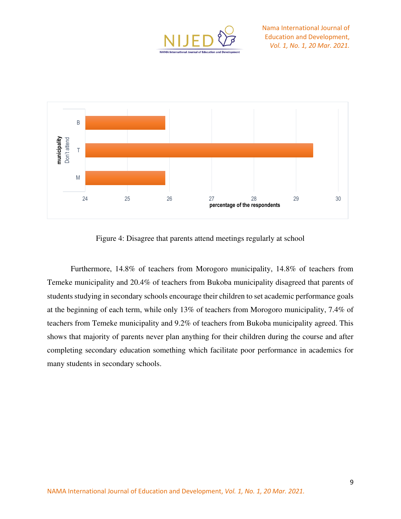



Figure 4: Disagree that parents attend meetings regularly at school

Furthermore, 14.8% of teachers from Morogoro municipality, 14.8% of teachers from Temeke municipality and 20.4% of teachers from Bukoba municipality disagreed that parents of students studying in secondary schools encourage their children to set academic performance goals at the beginning of each term, while only 13% of teachers from Morogoro municipality, 7.4% of teachers from Temeke municipality and 9.2% of teachers from Bukoba municipality agreed. This shows that majority of parents never plan anything for their children during the course and after completing secondary education something which facilitate poor performance in academics for many students in secondary schools.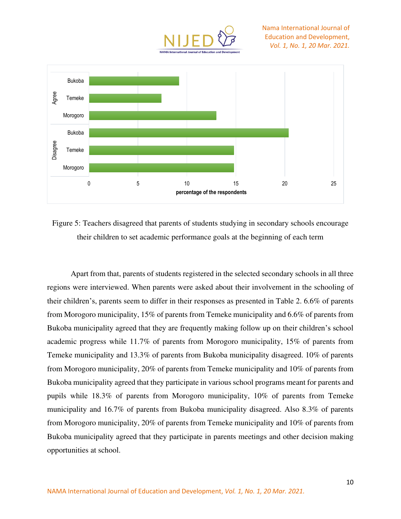



Figure 5: Teachers disagreed that parents of students studying in secondary schools encourage their children to set academic performance goals at the beginning of each term

Apart from that, parents of students registered in the selected secondary schools in all three regions were interviewed. When parents were asked about their involvement in the schooling of their children's, parents seem to differ in their responses as presented in Table 2. 6.6% of parents from Morogoro municipality, 15% of parents from Temeke municipality and 6.6% of parents from Bukoba municipality agreed that they are frequently making follow up on their children's school academic progress while 11.7% of parents from Morogoro municipality, 15% of parents from Temeke municipality and 13.3% of parents from Bukoba municipality disagreed. 10% of parents from Morogoro municipality, 20% of parents from Temeke municipality and 10% of parents from Bukoba municipality agreed that they participate in various school programs meant for parents and pupils while 18.3% of parents from Morogoro municipality, 10% of parents from Temeke municipality and 16.7% of parents from Bukoba municipality disagreed. Also 8.3% of parents from Morogoro municipality, 20% of parents from Temeke municipality and 10% of parents from Bukoba municipality agreed that they participate in parents meetings and other decision making opportunities at school.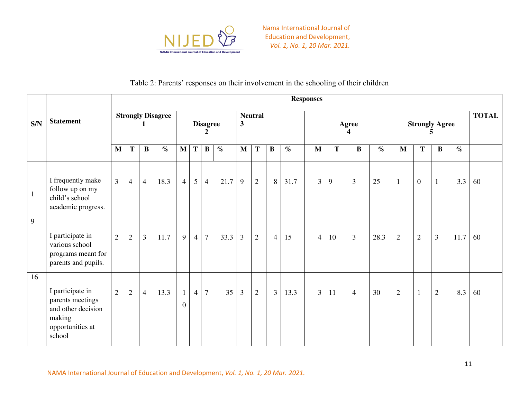

## Table 2: Parents' responses on their involvement in the schooling of their children

|              | <b>Statement</b>                                                                                   |                | <b>Responses</b> |                |                          |                                |                |                |      |                                           |                |                |      |                   |    |                |      |                            |                |                |      |              |
|--------------|----------------------------------------------------------------------------------------------------|----------------|------------------|----------------|--------------------------|--------------------------------|----------------|----------------|------|-------------------------------------------|----------------|----------------|------|-------------------|----|----------------|------|----------------------------|----------------|----------------|------|--------------|
| S/N          |                                                                                                    |                |                  |                | <b>Strongly Disagree</b> | <b>Disagree</b><br>2           |                |                |      | <b>Neutral</b><br>$\overline{\mathbf{3}}$ |                |                |      | <b>Agree</b><br>4 |    |                |      | <b>Strongly Agree</b><br>∍ |                |                |      | <b>TOTAL</b> |
|              |                                                                                                    | M              | $\mathbf T$      | $\bf{B}$       | $\%$                     | $\mathbf{M}$                   | T              | $\bf{B}$       | $\%$ | $\mathbf{M}$                              | T              | B              | $\%$ | M                 | T  | $\bf{B}$       | $\%$ | $\mathbf{M}$               | $\mathbf T$    | $\bf{B}$       | $\%$ |              |
| $\mathbf{1}$ | I frequently make<br>follow up on my<br>child's school<br>academic progress.                       | $\overline{3}$ | $\overline{4}$   | $\overline{4}$ | 18.3                     | $\overline{4}$                 | 5              | $\overline{4}$ | 21.7 | 9                                         | $\overline{2}$ | 8              | 31.7 | 3 <sup>1</sup>    | 9  | $\mathfrak{Z}$ | 25   | $\mathbf{1}$               | $\mathbf{0}$   | $\mathbf{1}$   | 3.3  | 60           |
| 9            | I participate in<br>various school<br>programs meant for<br>parents and pupils.                    | $\overline{2}$ | $\sqrt{2}$       | $\overline{3}$ | 11.7                     | 9                              | $\overline{4}$ | $\tau$         | 33.3 | $\overline{3}$                            | $\overline{2}$ | $\overline{4}$ | 15   | $\overline{4}$    | 10 | $\mathfrak{Z}$ | 28.3 | $\overline{2}$             | $\overline{2}$ | $\mathfrak{Z}$ | 11.7 | 60           |
| 16           | I participate in<br>parents meetings<br>and other decision<br>making<br>opportunities at<br>school | $\overline{2}$ | $\sqrt{2}$       | $\overline{4}$ | 13.3                     | $\mathbf{1}$<br>$\overline{0}$ | $\overline{4}$ | $\overline{7}$ | 35   | $\overline{3}$                            | $\overline{2}$ | $\overline{3}$ | 13.3 | 3 <sup>1</sup>    | 11 | $\overline{4}$ | 30   | $\overline{2}$             | $\mathbf{1}$   | $\mathfrak{2}$ | 8.3  | 60           |

NAMA International Journal of Education and Development, *Vol. 1, No. 1, 20 Mar. 2021.*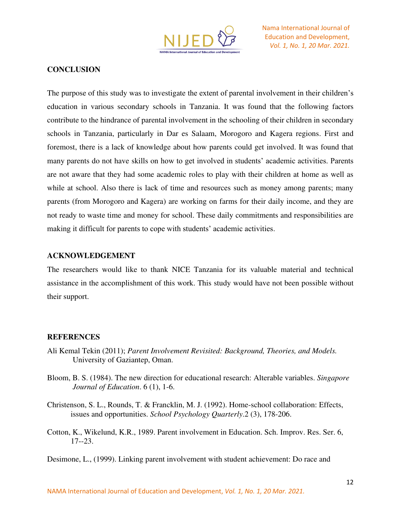

## **CONCLUSION**

The purpose of this study was to investigate the extent of parental involvement in their children's education in various secondary schools in Tanzania. It was found that the following factors contribute to the hindrance of parental involvement in the schooling of their children in secondary schools in Tanzania, particularly in Dar es Salaam, Morogoro and Kagera regions. First and foremost, there is a lack of knowledge about how parents could get involved. It was found that many parents do not have skills on how to get involved in students' academic activities. Parents are not aware that they had some academic roles to play with their children at home as well as while at school. Also there is lack of time and resources such as money among parents; many parents (from Morogoro and Kagera) are working on farms for their daily income, and they are not ready to waste time and money for school. These daily commitments and responsibilities are making it difficult for parents to cope with students' academic activities.

#### **ACKNOWLEDGEMENT**

The researchers would like to thank NICE Tanzania for its valuable material and technical assistance in the accomplishment of this work. This study would have not been possible without their support.

#### **REFERENCES**

- Ali Kemal Tekin (2011); *Parent Involvement Revisited: Background, Theories, and Models.*  University of Gaziantep, Oman.
- Bloom, B. S. (1984). The new direction for educational research: Alterable variables. *Singapore Journal of Education*. 6 (1), 1-6.
- Christenson, S. L., Rounds, T. & Francklin, M. J. (1992). Home-school collaboration: Effects, issues and opportunities. *School Psychology Quarterly*.2 (3), 178-206.
- Cotton, K., Wikelund, K.R., 1989. Parent involvement in Education. Sch. Improv. Res. Ser. 6, 17--23.

Desimone, L., (1999). Linking parent involvement with student achievement: Do race and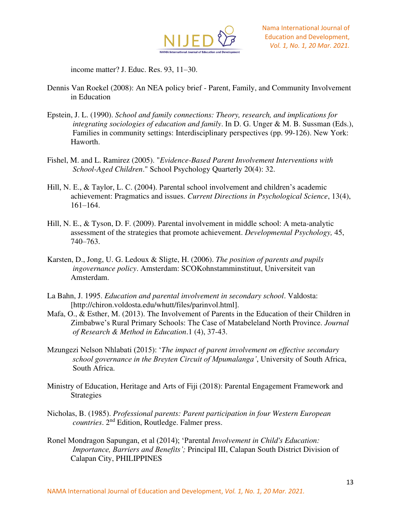

income matter? J. Educ. Res. 93, 11–30.

- Dennis Van Roekel (2008): An NEA policy brief Parent, Family, and Community Involvement in Education
- Epstein, J. L. (1990). *School and family connections: Theory, research, and implications for integrating sociologies of education and family*. In D. G. Unger & M. B. Sussman (Eds.), Families in community settings: Interdisciplinary perspectives (pp. 99-126). New York: Haworth.
- Fishel, M. and L. Ramirez (2005). "*Evidence-Based Parent Involvement Interventions with School-Aged Children*." School Psychology Quarterly 20(4): 32.
- Hill, N. E., & Taylor, L. C. (2004). Parental school involvement and children's academic achievement: Pragmatics and issues. *Current Directions in Psychological Science*, 13(4), 161–164.
- Hill, N. E., & Tyson, D. F. (2009). Parental involvement in middle school: A meta-analytic assessment of the strategies that promote achievement. *Developmental Psychology,* 45, 740–763.
- Karsten, D., Jong, U. G. Ledoux & Sligte, H. (2006). *The position of parents and pupils ingovernance policy*. Amsterdam: SCOKohnstamminstituut, Universiteit van Amsterdam.
- La Bahn, J. 1995. *Education and parental involvement in secondary school*. Valdosta: [http://chiron.voldosta.edu/whutt/files/parinvol.html].
- Mafa, O., & Esther, M. (2013). The Involvement of Parents in the Education of their Children in Zimbabwe's Rural Primary Schools: The Case of Matabeleland North Province. *Journal of Research & Method in Education*.1 (4), 37-43.
- Mzungezi Nelson Nhlabati (2015): '*The impact of parent involvement on effective secondary school governance in the Breyten Circuit of Mpumalanga'*, University of South Africa, South Africa.
- Ministry of Education, Heritage and Arts of Fiji (2018): Parental Engagement Framework and Strategies
- Nicholas, B. (1985). *Professional parents: Parent participation in four Western European countries*. 2nd Edition, Routledge. Falmer press.
- Ronel Mondragon Sapungan, et al (2014); 'Parental *Involvement in Child's Education: Importance, Barriers and Benefits';* Principal III, Calapan South District Division of Calapan City, PHILIPPINES